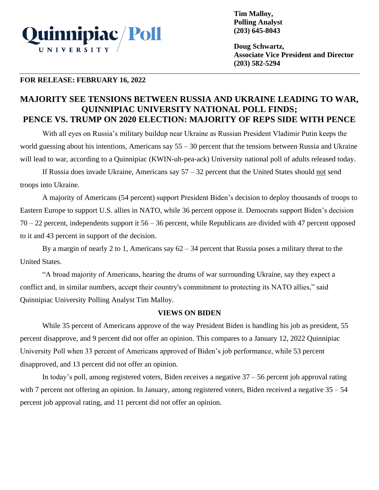

**Tim Malloy, Polling Analyst (203) 645-8043**

**Doug Schwartz, Associate Vice President and Director (203) 582-5294**

## **FOR RELEASE: FEBRUARY 16, 2022**

# **MAJORITY SEE TENSIONS BETWEEN RUSSIA AND UKRAINE LEADING TO WAR, QUINNIPIAC UNIVERSITY NATIONAL POLL FINDS; PENCE VS. TRUMP ON 2020 ELECTION: MAJORITY OF REPS SIDE WITH PENCE**

With all eyes on Russia's military buildup near Ukraine as Russian President Vladimir Putin keeps the world guessing about his intentions, Americans say 55 – 30 percent that the tensions between Russia and Ukraine will lead to war, according to a Quinnipiac (KWIN-uh-pea-ack) University national poll of adults released today.

If Russia does invade Ukraine, Americans say  $57 - 32$  percent that the United States should not send troops into Ukraine.

A majority of Americans (54 percent) support President Biden's decision to deploy thousands of troops to Eastern Europe to support U.S. allies in NATO, while 36 percent oppose it. Democrats support Biden's decision 70 – 22 percent, independents support it 56 – 36 percent, while Republicans are divided with 47 percent opposed to it and 43 percent in support of the decision.

By a margin of nearly 2 to 1, Americans say  $62 - 34$  percent that Russia poses a military threat to the United States.

"A broad majority of Americans, hearing the drums of war surrounding Ukraine, say they expect a conflict and, in similar numbers, accept their country's commitment to protecting its NATO allies," said Quinnipiac University Polling Analyst Tim Malloy.

## **VIEWS ON BIDEN**

While 35 percent of Americans approve of the way President Biden is handling his job as president, 55 percent disapprove, and 9 percent did not offer an opinion. This compares to a January 12, 2022 Quinnipiac University Poll when 33 percent of Americans approved of Biden's job performance, while 53 percent disapproved, and 13 percent did not offer an opinion.

In today's poll, among registered voters, Biden receives a negative  $37 - 56$  percent job approval rating with 7 percent not offering an opinion. In January, among registered voters, Biden received a negative  $35 - 54$ percent job approval rating, and 11 percent did not offer an opinion.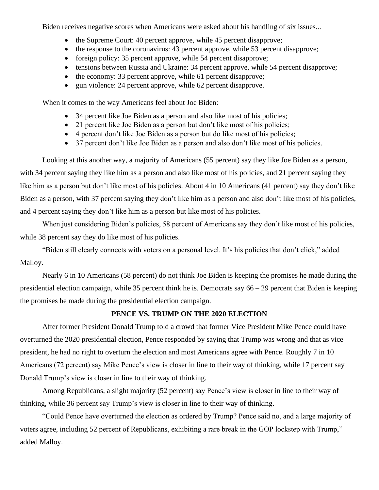Biden receives negative scores when Americans were asked about his handling of six issues...

- the Supreme Court: 40 percent approve, while 45 percent disapprove;
- the response to the coronavirus: 43 percent approve, while 53 percent disapprove;
- foreign policy: 35 percent approve, while 54 percent disapprove;
- tensions between Russia and Ukraine: 34 percent approve, while 54 percent disapprove;
- the economy: 33 percent approve, while 61 percent disapprove;
- gun violence: 24 percent approve, while 62 percent disapprove.

When it comes to the way Americans feel about Joe Biden:

- 34 percent like Joe Biden as a person and also like most of his policies;
- 21 percent like Joe Biden as a person but don't like most of his policies;
- 4 percent don't like Joe Biden as a person but do like most of his policies;
- 37 percent don't like Joe Biden as a person and also don't like most of his policies.

Looking at this another way, a majority of Americans (55 percent) say they like Joe Biden as a person, with 34 percent saying they like him as a person and also like most of his policies, and 21 percent saying they like him as a person but don't like most of his policies. About 4 in 10 Americans (41 percent) say they don't like Biden as a person, with 37 percent saying they don't like him as a person and also don't like most of his policies, and 4 percent saying they don't like him as a person but like most of his policies.

When just considering Biden's policies, 58 percent of Americans say they don't like most of his policies, while 38 percent say they do like most of his policies.

"Biden still clearly connects with voters on a personal level. It's his policies that don't click," added Malloy.

Nearly 6 in 10 Americans (58 percent) do not think Joe Biden is keeping the promises he made during the presidential election campaign, while 35 percent think he is. Democrats say 66 – 29 percent that Biden is keeping the promises he made during the presidential election campaign.

# **PENCE VS. TRUMP ON THE 2020 ELECTION**

After former President Donald Trump told a crowd that former Vice President Mike Pence could have overturned the 2020 presidential election, Pence responded by saying that Trump was wrong and that as vice president, he had no right to overturn the election and most Americans agree with Pence. Roughly 7 in 10 Americans (72 percent) say Mike Pence's view is closer in line to their way of thinking, while 17 percent say Donald Trump's view is closer in line to their way of thinking.

Among Republicans, a slight majority (52 percent) say Pence's view is closer in line to their way of thinking, while 36 percent say Trump's view is closer in line to their way of thinking.

"Could Pence have overturned the election as ordered by Trump? Pence said no, and a large majority of voters agree, including 52 percent of Republicans, exhibiting a rare break in the GOP lockstep with Trump," added Malloy.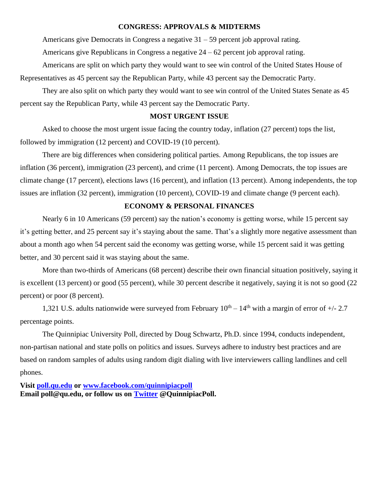#### **CONGRESS: APPROVALS & MIDTERMS**

Americans give Democrats in Congress a negative 31 – 59 percent job approval rating.

Americans give Republicans in Congress a negative 24 – 62 percent job approval rating.

Americans are split on which party they would want to see win control of the United States House of Representatives as 45 percent say the Republican Party, while 43 percent say the Democratic Party.

They are also split on which party they would want to see win control of the United States Senate as 45 percent say the Republican Party, while 43 percent say the Democratic Party.

### **MOST URGENT ISSUE**

Asked to choose the most urgent issue facing the country today, inflation (27 percent) tops the list, followed by immigration (12 percent) and COVID-19 (10 percent).

There are big differences when considering political parties. Among Republicans, the top issues are inflation (36 percent), immigration (23 percent), and crime (11 percent). Among Democrats, the top issues are climate change (17 percent), elections laws (16 percent), and inflation (13 percent). Among independents, the top issues are inflation (32 percent), immigration (10 percent), COVID-19 and climate change (9 percent each).

### **ECONOMY & PERSONAL FINANCES**

Nearly 6 in 10 Americans (59 percent) say the nation's economy is getting worse, while 15 percent say it's getting better, and 25 percent say it's staying about the same. That's a slightly more negative assessment than about a month ago when 54 percent said the economy was getting worse, while 15 percent said it was getting better, and 30 percent said it was staying about the same.

More than two-thirds of Americans (68 percent) describe their own financial situation positively, saying it is excellent (13 percent) or good (55 percent), while 30 percent describe it negatively, saying it is not so good (22 percent) or poor (8 percent).

1,321 U.S. adults nationwide were surveyed from February  $10^{th} - 14^{th}$  with a margin of error of  $+/- 2.7$ percentage points.

The Quinnipiac University Poll, directed by Doug Schwartz, Ph.D. since 1994, conducts independent, non-partisan national and state polls on politics and issues. Surveys adhere to industry best practices and are based on random samples of adults using random digit dialing with live interviewers calling landlines and cell phones.

**Visit [poll.qu.edu](https://poll.qu.edu/) or [www.facebook.com/quinnipiacpoll](http://www.facebook.com/quinnipiacpoll)  Email poll@qu.edu, or follow us on [Twitter](http://twitter.com/QuinnipiacPoll) @QuinnipiacPoll.**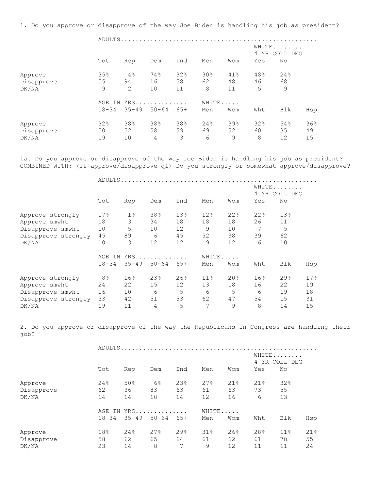1. Do you approve or disapprove of the way Joe Biden is handling his job as president?

 ADULTS..................................................... WHITE....... 4 YR COLL DEG Tot Rep Dem Ind Men Wom Yes No Approve 35% 4% 74% 32% 30% 41% 48% 24% Disapprove 55 94 16 58 62 48 46 68 DK/NA 9 2 10 11 8 11 5 9 AGE IN YRS.............. WHITE..... 18-34 35-49 50-64 65+ Men Wom Wht Blk Hsp Approve 32% 38% 38% 38% 24% 39% 32% 54% 36% Disapprove 50 52 58 59 69 52 60 35 49 DK/NA 19 10 4 3 6 9 8 12 15

1a. Do you approve or disapprove of the way Joe Biden is handling his job as president? COMBINED WITH: (If approve/disapprove q1) Do you strongly or somewhat approve/disapprove?

ADULTS.....................................................

|                     |                |           |           |       |                 |     | 4   | WHITE<br>YR COLL DEG |     |
|---------------------|----------------|-----------|-----------|-------|-----------------|-----|-----|----------------------|-----|
|                     | Tot            | Rep       | Dem       | Ind   | Men             | Wom | Yes | No                   |     |
| Approve strongly    | 17%            | $1\%$     | 38%       | 13%   | 12%             | 22% | 22% | 13%                  |     |
| Approve smwht       | 18             | 3         | 34        | 18    | 18              | 18  | 26  | 11                   |     |
| Disapprove smwht    | 10             | 5         | 10        | 12    | 9               | 10  | 7   | 5                    |     |
| Disapprove strongly | 45             | 89        | 6         | 45    | 52              | 38  | 39  | 62                   |     |
| DK/NA               | 10             | 3         | 12        | 12    | 9               | 12  | 6   | 10                   |     |
|                     | AGE<br>ΙN.     |           | $YRS$     |       | WHITE           |     |     |                      |     |
|                     | $18 - 34$      | $35 - 49$ | $50 - 64$ | $65+$ | Men             | Wom | Wht | <b>Blk</b>           | Hsp |
| Approve strongly    | 8 <sup>°</sup> | 16%       | 23%       | 26%   | 11 <sup>°</sup> | 20% | 16% | 29%                  | 17% |
| Approve smwht       | 24             | 22        | 15        | 12    | 13              | 18  | 16  | 22                   | 19  |
| Disapprove smwht    | 16             | 10        | 6         | 5     | 6               | 5   | 6   | 19                   | 18  |
| Disapprove strongly | 33             | 42        | 51        | 53    | 62              | 47  | 54  | 15                   | 31  |
| DK/NA               | 19             | 11        | 4         | 5     | 7               | 9   | 8   | 14                   | 15  |

2. Do you approve or disapprove of the way the Republicans in Congress are handling their job?

|            |           | ADULTS    |                        |     |     |       |     |        |     |  |  |  |
|------------|-----------|-----------|------------------------|-----|-----|-------|-----|--------|-----|--|--|--|
|            |           |           | WHITE<br>4 YR COLL DEG |     |     |       |     |        |     |  |  |  |
|            | Tot       | Rep       | Dem                    | Ind | Men | Wom   | Yes | No     |     |  |  |  |
| Approve    | 24%       | 50%       | $6\%$                  | 23% | 27% | 21%   | 21% | 32%    |     |  |  |  |
| Disapprove | 62        | 36        | 83                     | 63  | 61  | 63    | 73  | 55     |     |  |  |  |
| DK/NA      | 14        | 14        | 10                     | 14  | 12  | 16    | 6   | 13     |     |  |  |  |
|            |           |           | AGE IN YRS             |     |     | WHITE |     |        |     |  |  |  |
|            | $18 - 34$ | $35 - 49$ | $50 - 64$              | 65+ | Men | Wom   | Wht | Blk    | Hsp |  |  |  |
| Approve    | 18%       | 24%       | 27%                    | 29% | 31% | 26%   | 28% | $11\%$ | 21% |  |  |  |
| Disapprove | 58        | 62        | 65                     | 64  | 61  | 62    | 61  | 78     | 55  |  |  |  |
| DK/NA      | 23        | 14        | 8                      | 7   | 9   | 12    | 11  | 11     | 24  |  |  |  |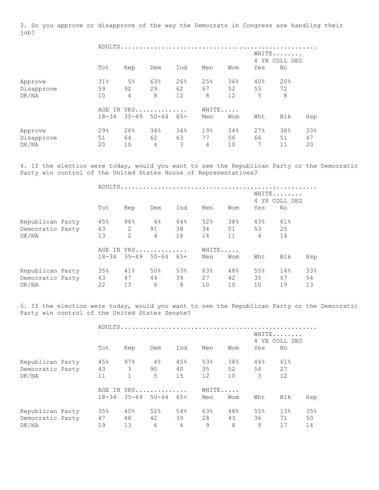3. Do you approve or disapprove of the way the Democrats in Congress are handling their job?

|            |           |       | WHITE<br>4 YR COLL DEG |                   |     |       |     |     |     |  |  |  |
|------------|-----------|-------|------------------------|-------------------|-----|-------|-----|-----|-----|--|--|--|
|            | Tot       | Rep   | Dem                    | Ind               | Men | Wom   | Yes | No  |     |  |  |  |
| Approve    | 31%       | $5\%$ | 63%                    | 26%               | 25% | 36%   | 40% | 20% |     |  |  |  |
| Disapprove | 59        | 92    | 29                     | 62                | 67  | 52    | 55  | 72  |     |  |  |  |
| DK/NA      | 10        | 4     | 8                      | $12 \overline{ }$ | 8   | 12    | 5   | 8   |     |  |  |  |
|            | AGE       |       | IN YRS                 |                   |     | WHITE |     |     |     |  |  |  |
|            | $18 - 34$ |       | $35 - 49$ 50-64        | 65+               | Men | Wom   | Wht | Blk | Hsp |  |  |  |
| Approve    | 29%       | 26%   | 34%                    | 34%               | 19% | 34%   | 27% | 38% | 33% |  |  |  |
| Disapprove | 51        | 64    | 62                     | 63                | 77  | 56    | 66  | 51  | 47  |  |  |  |
| DK/NA      | 20        | 10    | 4                      | 3                 | 4   | 10    | 7   | 11  | 20  |  |  |  |

4. If the election were today, would you want to see the Republican Party or the Democratic Party win control of the United States House of Representatives?

|                  |           |           |            |       | ADULTS |     |                        |     |     |  |
|------------------|-----------|-----------|------------|-------|--------|-----|------------------------|-----|-----|--|
|                  |           |           |            |       |        |     | WHITE<br>4 YR COLL DEG |     |     |  |
|                  | Tot       | Rep       | Dem        | Ind   | Men    | Wom | Yes                    | No  |     |  |
| Republican Party | 45%       | $96\%$    | 6%         | 44%   | 52%    | 38% | 43%                    | 61% |     |  |
| Democratic Party | 43        | 2         | 91         | 38    | 34     | 51  | 53                     | 25  |     |  |
| DK/NA            | 13        | 2         | 4          | 18    | 14     | 11  | 4                      | 14  |     |  |
|                  |           |           | AGE IN YRS |       | WHITE  |     |                        |     |     |  |
|                  | $18 - 34$ | $35 - 49$ | $50 - 64$  | $65+$ | Men    | Wom | Wht                    | Blk | Hsp |  |
| Republican Party | 35%       | 41%       | 50%        | 53%   | 63%    | 48% | 55%                    | 14% | 33% |  |
| Democratic Party | 43        | 47        | 44         | 39    | 27     | 42  | 35                     | 67  | 54  |  |
| DK/NA            | 22        | 13        | 6          | 8     | 10     | 10  | 10                     | 19  | 13  |  |

5. If the election were today, would you want to see the Republican Party or the Democratic Party win control of the United States Senate?

|                  |           |              |                 |                        | ADULTS |       |     |     |     |
|------------------|-----------|--------------|-----------------|------------------------|--------|-------|-----|-----|-----|
|                  |           |              |                 | WHITE<br>4 YR COLL DEG |        |       |     |     |     |
|                  | Tot       | Rep          | Dem             | Ind                    | Men    | Wom   | Yes | No  |     |
|                  |           |              |                 |                        |        |       |     |     |     |
| Republican Party | 45%       | 97%          | 4%              | 45%                    | 53%    | 38%   | 44% | 61% |     |
| Democratic Party | 43        | 3            | 90              | 40                     | 35     | 52    | 54  | 27  |     |
| DK/NA            | 11        | $\mathbf{1}$ | 5               | 15                     | 12     | 10    | 3   | 12  |     |
|                  |           |              | AGE IN YRS      |                        |        | WHITE |     |     |     |
|                  | $18 - 34$ |              | $35 - 49$ 50-64 | $65+$                  | Men    | Wom   | Wht | Blk | Hsp |
| Republican Party | 35%       | 40%          | 52%             | 54%                    | 63%    | 48%   | 55% | 13% | 35% |
| Democratic Party | 47        | 48           | 42              | 39                     | 28     | 43    | 36  | 71  | 50  |
| DK/NA            | 19        | 13           | 6               | 6                      | 9      | 8     | 9   | 17  | 14  |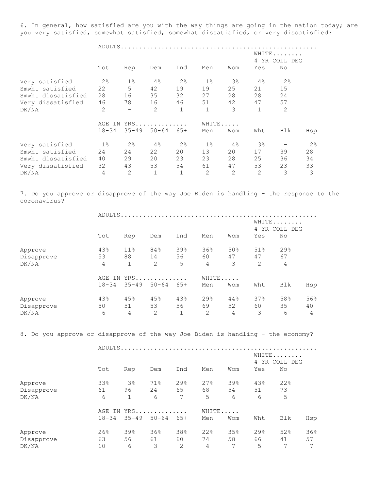6. In general, how satisfied are you with the way things are going in the nation today; are you very satisfied, somewhat satisfied, somewhat dissatisfied, or very dissatisfied?

ADULTS.....................................................

|                    |                |                          |                 |                |                |       |                | WHITE<br>4 YR COLL DEG |     |
|--------------------|----------------|--------------------------|-----------------|----------------|----------------|-------|----------------|------------------------|-----|
|                    | Tot            | Rep                      | Dem             | Ind            | Men            | Wom   | Yes            | No                     |     |
| Very satisfied     | 2 <sup>°</sup> | $1\%$                    | 4%              | 2%             | $1\,$          | $3\,$ | 4%             | 2 <sup>°</sup>         |     |
| Smwht satisfied    | 22             | 5                        | 42              | 19             | 19             | 25    | 21             | 15                     |     |
| Smwht dissatisfied | 28             | 16                       | 35              | 32             | 27             | 28    | 28             | 24                     |     |
| Very dissatisfied  | 46             | 78                       | 16              | 46             | 51             | 42    | 47             | 57                     |     |
| DK/NA              | 2              | $\overline{\phantom{0}}$ | 2               | $\mathbf{1}$   | $\mathbf{1}$   | 3     | 1              | 2                      |     |
|                    | AGE<br>IN      |                          | YRS             |                | WHITE          |       |                |                        |     |
|                    | $18 - 34$      |                          | $35 - 49$ 50-64 | 65+            | Men            | Wom   | Wht            | Blk                    | Hsp |
| Very satisfied     | $1\%$          | 2%                       | 4%              | 2 <sup>°</sup> | $1\%$          | 4%    | 3%             |                        | 2%  |
| Smwht satisfied    | 24             | 24                       | 22              | 20             | 13             | 20    | 17             | 39                     | 28  |
| Smwht dissatisfied | 40             | 29                       | 20              | 23             | 23             | 28    | 25             | 36                     | 34  |
| Very dissatisfied  | 32             | 43                       | 53              | 54             | 61             | 47    | 53             | 23                     | 33  |
| DK/NA              | 4              | $\overline{2}$           | $\mathbf 1$     |                | $\overline{2}$ | 2     | $\overline{2}$ | 3                      | 3   |

7. Do you approve or disapprove of the way Joe Biden is handling - the response to the coronavirus?

|            | ADULTS    |           |           |              |                        |       |     |     |     |
|------------|-----------|-----------|-----------|--------------|------------------------|-------|-----|-----|-----|
|            |           |           |           |              | WHITE<br>4 YR COLL DEG |       |     |     |     |
|            | Tot       | Rep       | Dem       | Ind          | Men                    | Wom   | Yes | No  |     |
| Approve    | 43%       | 11%       | 84%       | 39%          | 36%                    | 50%   | 51% | 29% |     |
| Disapprove | 53        | 88        | 14        | 56           | 60                     | 47    | 47  | 67  |     |
| DK/NA      | 4         | 1         | 2         | 5            | 4                      | 3     | 2   | 4   |     |
|            | AGE IN    |           | YRS       |              |                        | WHITE |     |     |     |
|            | $18 - 34$ | $35 - 49$ | $50 - 64$ | $65+$        | Men                    | Wom   | Wht | Blk | Hsp |
| Approve    | 43%       | 45%       | 45%       | 43%          | 29%                    | 44%   | 37% | 58% | 56% |
| Disapprove | 50        | 51        | 53        | 56           | 69                     | 52    | 60  | 35  | 40  |
| DK/NA      | 6         | 4         | 2         | $\mathbf{1}$ | 2                      | 4     | 3   | 6   | 4   |

8. Do you approve or disapprove of the way Joe Biden is handling - the economy?

|            |           |              | ADULTS     |                        |     |       |     |     |     |
|------------|-----------|--------------|------------|------------------------|-----|-------|-----|-----|-----|
|            |           |              |            | WHITE<br>4 YR COLL DEG |     |       |     |     |     |
|            | Tot       | Rep          | Dem        | Ind                    | Men | Wom   | Yes | No  |     |
| Approve    | 33%       | $3\%$        | 71%        | 29%                    | 27% | 39%   | 43% | 22% |     |
| Disapprove | 61        | 96           | 24         | 65                     | 68  | 54    | 51  | 73  |     |
| DK/NA      | 6         | $\mathbf{1}$ | 6          | 7                      | 5   | 6     | 6   | 5   |     |
|            |           |              | AGE IN YRS |                        |     | WHITE |     |     |     |
|            | $18 - 34$ | $35 - 49$    | $50 - 64$  | 65+                    | Men | Wom   | Wht | Blk | Hsp |
| Approve    | 26%       | 39%          | 36%        | 38%                    | 22% | 35%   | 29% | 52% | 36% |
| Disapprove | 63        | 56           | 61         | 60                     | 74  | 58    | 66  | 41  | 57  |
| DK/NA      | 10        | 6            | 3          | 2                      | 4   | 7     | 5   | 7   | 7   |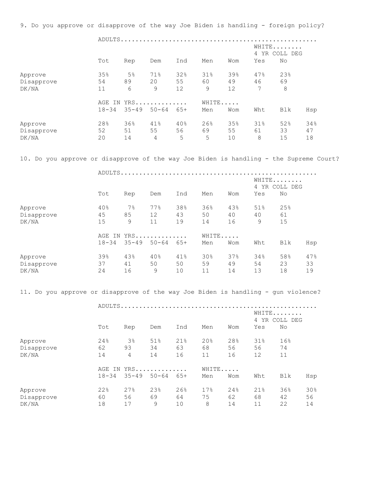9. Do you approve or disapprove of the way Joe Biden is handling - foreign policy? ADULTS..................................................... WHITE........ 4 YR COLL DEG Tot Rep Dem Ind Men Wom Yes No Approve 35% 5% 71% 32% 31% 39% 47% 23% Disapprove 54 89 20 55 60 49 46 69 DK/NA 11 6 9 12 9 12 7 8 AGE IN YRS.............. WHITE..... 18-34 35-49 50-64 65+ Men Wom Wht Blk Hsp Approve 28% 36% 41% 40% 26% 35% 31% 52% 34% Disapprove 52 51 55 56 69 55 61 33 47 DK/NA 20 14 4 5 5 10 8 15 18 10. Do you approve or disapprove of the way Joe Biden is handling - the Supreme Court? ADULTS..................................................... WHITE........ 4 YR COLL DEG Tot Rep Dem Ind Men Wom Yes No Approve 40% 7% 77% 38% 36% 43% 51% 25% Disapprove 45 85 12 43 50 40 40 61 DK/NA 15 9 11 19 14 16 9 15 AGE IN YRS............. WHITE..... 18-34 35-49 50-64 65+ Men Wom Wht Blk Hsp Approve 39% 43% 40% 41% 30% 37% 34% 58% 47% Disapprove 37 41 50 50 59 49 54 23 33 DK/NA 24 16 9 10 11 14 13 18 19 11. Do you approve or disapprove of the way Joe Biden is handling - gun violence? ADULTS..................................................... WHITE....... 4 YR COLL DEG Tot Rep Dem Ind Men Wom Yes No Approve 24% 3% 51% 21% 20% 28% 31% 16% Disapprove 62 93 34 63 68 56 56 74 DK/NA 14 4 14 16 11 16 12 11 AGE IN YRS............. WHITE..... 18-34 35-49 50-64 65+ Men Wom Wht Blk Hsp Approve 22% 27% 23% 26% 17% 24% 21% 36% 30% Disapprove 60 56 69 64 75 62 68 42 56 DK/NA 18 17 9 10 8 14 11 22 14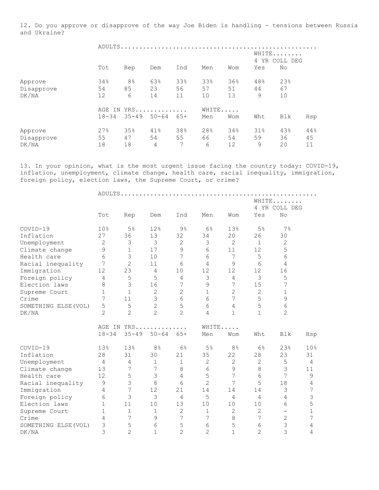12. Do you approve or disapprove of the way Joe Biden is handling - tensions between Russia and Ukraine?

|            |           |                | ADULTS                 |     |     |       |     |     |     |
|------------|-----------|----------------|------------------------|-----|-----|-------|-----|-----|-----|
|            |           |                | WHITE<br>4 YR COLL DEG |     |     |       |     |     |     |
|            | Tot       | Rep            | Dem                    | Ind | Men | Wom   | Yes | No  |     |
| Approve    | 34%       | 8 <sup>°</sup> | 63%                    | 33% | 33% | 36%   | 48% | 23% |     |
| Disapprove | 54        | 85             | 23                     | 56  | 57  | 51    | 44  | 67  |     |
| DK/NA      | 12        | 6              | 14                     | 11  | 10  | 13    | 9   | 10  |     |
|            |           |                | AGE IN YRS             |     |     | WHITE |     |     |     |
|            | $18 - 34$ | $35 - 49$      | $50 - 64$              | 65+ | Men | Wom   | Wht | Blk | Hsp |
| Approve    | 27%       | 35%            | 41%                    | 38% | 28% | 34%   | 31% | 43% | 44% |
| Disapprove | 55        | 47             | 54                     | 55  | 66  | 54    | 59  | 36  | 45  |
| DK/NA      | 18        | 18             | 4                      | 7   | 6   | 12    | 9   | 20  | 11  |

13. In your opinion, what is the most urgent issue facing the country today: COVID-19, inflation, unemployment, climate change, health care, racial inequality, immigration, foreign policy, election laws, the Supreme Court, or crime?

|                      |                |                |                |                |                |                |                | WHITE                    |                 |
|----------------------|----------------|----------------|----------------|----------------|----------------|----------------|----------------|--------------------------|-----------------|
|                      | Tot            |                | Dem            | Ind            | Men            | Wom            | Yes            | 4 YR COLL DEG<br>No      |                 |
|                      |                | Rep            |                |                |                |                |                |                          |                 |
| COVID-19             | 10%            | 5%             | 12%            | 9%             | $6\%$          | 13%            | 5 <sup>°</sup> | 7%                       |                 |
| Inflation            | 27             | 36             | 13             | 32             | 34             | 20             | 26             | 30                       |                 |
| Unemployment         | $\mathbf{2}$   | 3              | 3              | $\mathbf{2}$   | 3              | $\overline{2}$ | $\mathbf{1}$   | 2                        |                 |
| Climate change       | $\mathsf 9$    | $\mathbf{1}$   | 17             | 9              | 6              | 11             | 12             | 5                        |                 |
| Health care          | 6              | 3              | 10             | 7              | 6              | 7              | 5              | 6                        |                 |
| Racial inequality    | 7              | $\overline{2}$ | 11             | 6              | $\overline{4}$ | 9              | 6              | $\overline{4}$           |                 |
| Immigration          | 12             | 23             | $\overline{4}$ | 10             | 12             | 12             | 12             | 16                       |                 |
| Foreign policy       | 4              | 5              | 5              | 4              | 3              | $\overline{4}$ | 3              | 5                        |                 |
| Election laws        | 8              | 3              | 16             | 7              | 9              | 7              | 15             | 7                        |                 |
| Supreme Court        | $\mathbf 1$    | $\mathbf{1}$   | $\mathbf{2}$   | $\overline{c}$ | $1\,$          | $\overline{c}$ | $\mathbf{2}$   | 1                        |                 |
| Crime                | $\overline{7}$ | 11             | 3              | 6              | 6              | 7              | 5              | 9                        |                 |
| SOMETHING ELSE (VOL) | 5              | 5              | $\overline{c}$ | 5              | 6              | $\overline{4}$ | 5              | 6                        |                 |
| DK/NA                | $\overline{2}$ | $\overline{2}$ | $\overline{2}$ | $\overline{2}$ | 4              | $\mathbf{1}$   | $\mathbf{1}$   | $\overline{2}$           |                 |
|                      |                |                | AGE IN YRS     |                | WHITE          |                |                |                          |                 |
|                      | $18 - 34$      | $35 - 49$      | $50 - 64$      | $65+$          | Men            | Wom            | Wht            | Blk                      | Hsp             |
| COVID-19             | 13%            | 13%            | 8 <sup>°</sup> | 6%             | 5%             | 8 <sup>°</sup> | $6\%$          | 23%                      | 10 <sub>8</sub> |
| Inflation            | 28             | 31             | 30             | 21             | 35             | 22             | 28             | 23                       | 31              |
| Unemployment         | 4              | 4              | $\mathbf{1}$   | 1              | $\mathbf{2}$   | $\overline{c}$ | $\overline{c}$ | 5                        | $\overline{4}$  |
| Climate change       | 13             | 7              | 7              | 8              | 6              | 9              | 8              | 3                        | 11              |
| Health care          | 12             | 5              | 3              | 4              | 5              | 7              | 6              | 7                        | 9               |
| Racial inequality    | 9              | 3              | 8              | 6              | $\overline{2}$ | 7              | 5              | 18                       | 4               |
| Immigration          | $\overline{4}$ | $\overline{7}$ | 12             | 21             | 14             | 14             | 14             | 3                        | 7               |
| Foreign policy       | 6              | 3              | 3              | $\overline{4}$ | 5              | $\overline{4}$ | $\overline{4}$ | $\overline{4}$           | 3               |
| Election laws        | $\mathbf{1}$   | 11             | 10             | 13             | 10             | 10             | 10             | 6                        | 5               |
| Supreme Court        | $\mathbf{1}$   | $\mathbf 1$    | $\mathbf{1}$   | $\overline{c}$ | $\mathbf{1}$   | 2              | $\overline{2}$ | $\overline{\phantom{0}}$ | 1               |
| Crime                | 4              | 7              | $\mathsf 9$    | 7              | 7              | 8              | 7              | $\mathbf{2}$             | 7               |
| SOMETHING ELSE (VOL) | 3              | 5              | 6              | 5              | 6              | 5              | $\sqrt{6}$     | $\mathsf 3$              | 4               |
| DK/NA                | 3              | $\overline{2}$ | $\mathbf{1}$   | $\overline{2}$ | $\overline{2}$ | $\mathbf{1}$   | $\overline{2}$ | 3                        | $\overline{4}$  |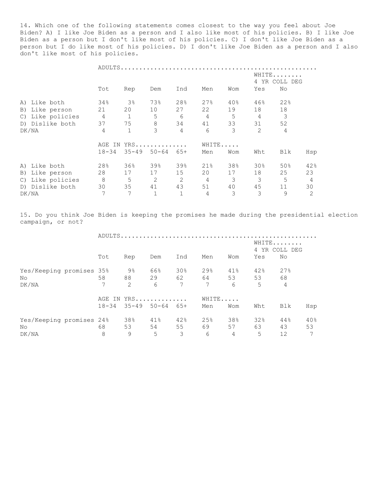14. Which one of the following statements comes closest to the way you feel about Joe Biden? A) I like Joe Biden as a person and I also like most of his policies. B) I like Joe Biden as a person but I don't like most of his policies. C) I don't like Joe Biden as a person but I do like most of his policies. D) I don't like Joe Biden as a person and I also don't like most of his policies.

|                  |                |                        | ADULTS              |                |                |     |                 |     |                |
|------------------|----------------|------------------------|---------------------|----------------|----------------|-----|-----------------|-----|----------------|
|                  |                | WHITE<br>4 YR COLL DEG |                     |                |                |     |                 |     |                |
|                  | Tot            | Rep                    | Dem                 | Ind            | Men            | Wom | Yes             | No  |                |
| Like both<br>A)  | 34%            | $3\%$                  | 73%                 | 28%            | 27%            | 40% | 46%             | 22% |                |
| B) Like person   | 21             | 20                     | 10                  | 27             | 22             | 19  | 18              | 18  |                |
| C) Like policies | 4              | $\mathbf{1}$           | 5                   | 6              | $\overline{4}$ | 5   | 4               | 3   |                |
| D) Dislike both  | 37             | 75                     | 8                   | 34             | 41             | 33  | 31              | 52  |                |
| DK/NA            | $\overline{4}$ | $\mathbf{1}$           | 3                   | $\overline{4}$ | 6              | 3   | $\overline{2}$  | 4   |                |
|                  | AGE            | YRS<br>WHITE<br>IN     |                     |                |                |     |                 |     |                |
|                  | $18 - 34$      |                        | $35 - 49$ $50 - 64$ | 65+            | Men            | Wom | Wht             | Blk | Hsp            |
| A) Like both     | 28%            | 36%                    | 39%                 | 39%            | 21%            | 38% | 30 <sub>8</sub> | 50% | 42%            |
| B) Like person   | 28             | 17                     | 17                  | 15             | 20             | 17  | 18              | 25  | 23             |
| C) Like policies | $\,8\,$        | 5                      | $\mathbf{2}$        | 2              | $\sqrt{4}$     | 3   | 3               | 5   | $\overline{4}$ |
| D) Dislike both  | 30             | 35                     | 41                  | 43             | 51             | 40  | 45              | 11  | 30             |
| DK/NA            | 7              | 7                      | $\mathbf{1}$        |                | 4              | 3   | 3               | 9   | $\overline{c}$ |

15. Do you think Joe Biden is keeping the promises he made during the presidential election campaign, or not?

|                          |           |     | WHITE<br>4 YR COLL DEG |                 |                 |                |     |                |     |
|--------------------------|-----------|-----|------------------------|-----------------|-----------------|----------------|-----|----------------|-----|
|                          | Tot       | Rep | Dem                    | Ind             | Men             | Wom            | Yes | No.            |     |
| Yes/Keeping promises 35% |           | 9%  | 66%                    | $30\%$          | 29 <sup>°</sup> | 41%            | 42% | 27%            |     |
| No.                      | 58        | 88  |                        |                 | 29 62 64 53     |                | 53  | 68             |     |
| DK/NA                    | 7         | 2   | 6                      | $7\phantom{.0}$ | $7\phantom{.0}$ | 6              | 5   | $\overline{4}$ |     |
|                          |           |     | AGE IN YRS             |                 | WHITE           |                |     |                |     |
|                          | $18 - 34$ |     | $35 - 49$ 50-64        | 65+             | Men             | Wom            | Wht | Blk            | Hsp |
| Yes/Keeping promises 24% |           | 38% | 41%                    | 42%             | 25%             | 38%            | 32% | 44%            | 40% |
| No.                      | 68        | 53  | 54 6                   | 55              | 69              | 57             | 63  | 43             | 53  |
| DK/NA                    | 8         | 9   | 5                      | 3               | 6               | $\overline{4}$ | 5   | 12             | 7   |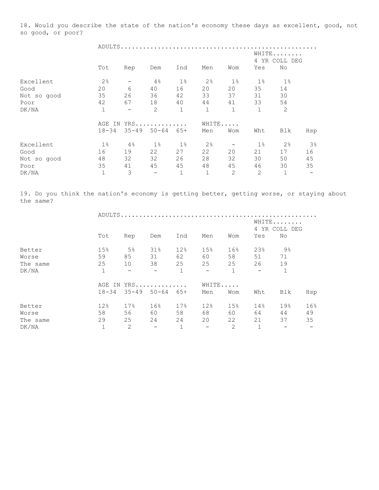18. Would you describe the state of the nation's economy these days as excellent, good, not so good, or poor?

| WHITE<br>4 YR COLL DEG        |              |              |              |                          |                          |              |             |  |  |  |
|-------------------------------|--------------|--------------|--------------|--------------------------|--------------------------|--------------|-------------|--|--|--|
| Yes<br>No                     | Wom          | Men          | Ind          | Dem                      | Rep                      | Tot          |             |  |  |  |
| 1%<br>$1\%$                   | $1\%$        | 2%           | $1\%$        | 4%                       |                          | 2%           | Excellent   |  |  |  |
| 35<br>14                      | 20           | 20           | 16           | 40                       | 6                        | 20           | Good        |  |  |  |
| 31<br>30                      | 37           | 33           | 42           | 36                       | 26                       | 35           | Not so good |  |  |  |
| 33<br>54                      | 41           | 44           | 40           | 18                       | 67                       | 42           | Poor        |  |  |  |
| $\mathbf 1$<br>2              | $\mathbf{1}$ | $\mathbf{1}$ | $\mathbf{1}$ | $\overline{2}$           | $\overline{\phantom{m}}$ | $\mathbf{1}$ | DK/NA       |  |  |  |
|                               |              | WHITE        |              |                          |                          |              |             |  |  |  |
| Wht<br>Blk<br>Hsp             | Wom          | Men          | $65+$        | $35 - 49$ $50 - 64$      |                          | $18 - 34$    |             |  |  |  |
| 2%<br>3%<br>$1\%$             |              | 2%           | $1\%$        | $1\%$                    | $4\%$                    | $1\%$        | Excellent   |  |  |  |
| 21<br>16<br>17                | 20           | 22           | 27           | 22                       | 19                       | 16           | Good        |  |  |  |
| 30<br>50<br>45                | 32           | 28           | 26           | 32                       | 32                       | 48           | Not so good |  |  |  |
| 46<br>30<br>35                | 45           | 48           | 45           | 45                       | 41                       | 35           | Poor        |  |  |  |
| $\overline{2}$<br>$\mathbf 1$ | 2            | $\mathbf 1$  | $\mathbf{1}$ | $\overline{\phantom{m}}$ | 3                        | $\mathbf 1$  | DK/NA       |  |  |  |
|                               |              |              |              | YRS                      |                          | AGE<br>IN    |             |  |  |  |

19. Do you think the nation's economy is getting better, getting worse, or staying about the same?

|          | ADULTS.      |                                 |                          |              |                          |                |                          |              |                        |  |
|----------|--------------|---------------------------------|--------------------------|--------------|--------------------------|----------------|--------------------------|--------------|------------------------|--|
|          |              |                                 |                          |              |                          |                |                          |              | WHITE<br>4 YR COLL DEG |  |
|          | Tot          | Rep                             | Dem                      | Ind          | Men                      | Wom            | Yes                      | No           |                        |  |
| Better   | 15%          | 5%                              | 31%                      | 12%          | 15%                      | 16%            | 23%                      | 9%           |                        |  |
| Worse    | 59           | 85                              | 31                       | 62           | 60                       | 58             | 51                       | 71           |                        |  |
| The same | 25           | 10                              | 38                       | 25           | 25                       | 25             | 26                       | 19           |                        |  |
| DK/NA    | $\mathbf{1}$ | $\!-$                           | $\overline{\phantom{m}}$ | $\mathbf{1}$ | $\overline{\phantom{a}}$ | $\mathbf{1}$   | $\overline{\phantom{m}}$ | $\mathbf{1}$ |                        |  |
|          |              | AGE IN YRS<br>WHITE.<br>$\cdot$ |                          |              |                          |                |                          |              |                        |  |
|          | $18 - 34$    |                                 | 35-49 50-64              | 65+          | Men                      | Wom            | Wht                      | Blk          | Hsp                    |  |
| Better   | 12%          | 17%                             | 16%                      | 17%          | 12%                      | 15%            | 14%                      | 19%          | 16%                    |  |
| Worse    | 58           | 56                              | 60                       | 58           | 68                       | 60             | 64                       | 44           | 49                     |  |
| The same | 29           | 25                              | 24                       | 24           | 20                       | 22             | 21                       | 37           | 35                     |  |
| DK/NA    |              | $\overline{2}$                  | $\overline{\phantom{m}}$ | $\mathbf{1}$ |                          | $\overline{2}$ |                          |              |                        |  |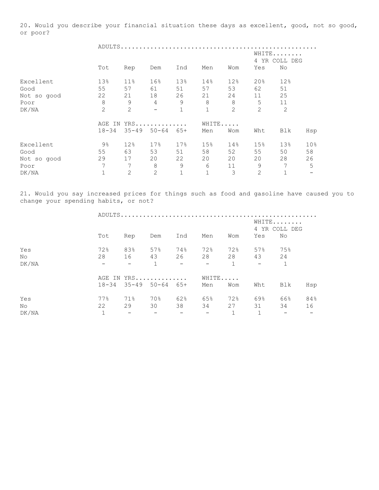20. Would you describe your financial situation these days as excellent, good, not so good, or poor?

ADULTS.....................................................

|             |                |                 |                          |             |     |     |                | WHITE<br>4 YR COLL DEG |                 |
|-------------|----------------|-----------------|--------------------------|-------------|-----|-----|----------------|------------------------|-----------------|
|             | Tot            | Rep             | Dem                      | Ind         | Men | Wom | Yes            | No                     |                 |
| Excellent   | 13%            | 11%             | 16%                      | 13%         | 14% | 12% | 20%            | 12%                    |                 |
| Good        | 55             | 57              | 61                       | 51          | 57  | 53  | 62             | 51                     |                 |
| Not so good | 22             | 21              | 18                       | 26          | 21  | 24  | 11             | 25                     |                 |
| Poor        | 8              | 9               | 4                        | 9           | 8   | 8   | 5              | 11                     |                 |
| DK/NA       | 2              | 2               | $\overline{\phantom{0}}$ | $\mathbf 1$ | 1   | 2   | $\overline{2}$ | 2                      |                 |
|             |                | $YRS$<br>AGE IN |                          |             |     |     | WHITE          |                        |                 |
|             | $18 - 34$      | $35 - 49$       | $50 - 64$                | $65+$       | Men | Wom | Wht            | Blk                    | Hsp             |
| Excellent   | $9\frac{6}{6}$ | 12%             | 17%                      | 17%         | 15% | 14% | 15%            | 13%                    | 10 <sup>°</sup> |
| Good        | 55             | 63              | 53                       | 51          | 58  | 52  | 55             | 50                     | 58              |
| Not so good | 29             | 17              | 20                       | 22          | 20  | 20  | 20             | 28                     | 26              |
| Poor        | 7              | 7               | 8                        | 9           | 6   | 11  | 9              | 7                      | 5               |
| DK/NA       |                | 2               | 2                        | 1           |     | 3   | 2              |                        |                 |

21. Would you say increased prices for things such as food and gasoline have caused you to change your spending habits, or not?

|       |                                   |                        |                                                                                                                   |                      |            |     |            | WHITE<br>4 YR COLL DEG |     |
|-------|-----------------------------------|------------------------|-------------------------------------------------------------------------------------------------------------------|----------------------|------------|-----|------------|------------------------|-----|
|       | Tot                               | Rep                    | Dem                                                                                                               | Ind                  | Men        | Wom | Yes        | No                     |     |
| Yes   | 72%                               | 83%                    | 57%                                                                                                               | 74%                  | 72%        | 72% | 57%        | 75%                    |     |
| No    | 28                                |                        | 16 43 26 28                                                                                                       |                      |            | 28  | 43 24      |                        |     |
| DK/NA | the company of the company of the |                        | 1                                                                                                                 |                      | $   1$     |     | $\sim$ $-$ | $\sim$ 1               |     |
|       |                                   |                        | AGE IN YRS                                                                                                        |                      | WHITE      |     |            |                        |     |
|       |                                   |                        | $18-34$ $35-49$ $50-64$ $65+$                                                                                     |                      | Men        | Wom | Wht        | Blk                    | Hsp |
| Yes   | 77%                               | 71%                    | 70%                                                                                                               | 62%                  | 65%        | 72% | 69%        | 66%                    | 84% |
| No.   | 22                                |                        | 29 30                                                                                                             | 38                   | 34         |     | 27 31      | 34                     | 16  |
| DK/NA | $\mathbf{1}$                      | $\sim$ 100 $-$ 100 $-$ | $\mathcal{L}^{\mathcal{L}}(\mathcal{L}^{\mathcal{L}})$ and $\mathcal{L}^{\mathcal{L}}(\mathcal{L}^{\mathcal{L}})$ | <b>Service</b> State | $\sim$ $-$ | 1   | 1          | $\sim$ $-$             |     |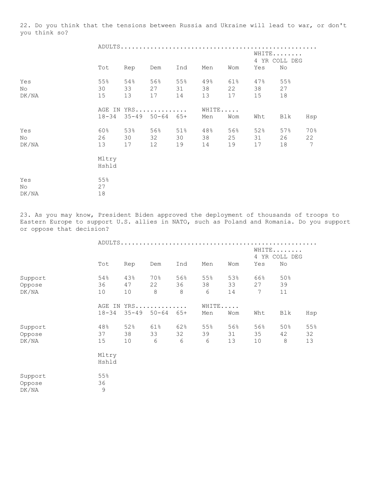22. Do you think that the tensions between Russia and Ukraine will lead to war, or don't you think so?

|                    | Tot             | Rep             | Dem                                      | Ind             | Men             | Wom             | Yes             | WHITE<br>4 YR COLL DEG<br>No |                              |
|--------------------|-----------------|-----------------|------------------------------------------|-----------------|-----------------|-----------------|-----------------|------------------------------|------------------------------|
| Yes<br>No<br>DK/NA | 55%<br>30<br>15 | 54%<br>33<br>13 | 56%<br>27<br>17                          | 55%<br>31<br>14 | 49%<br>38<br>13 | 61%<br>22<br>17 | 47%<br>38<br>15 | 55%<br>27<br>18              |                              |
|                    | $18 - 34$       |                 | AGE IN YRS<br>$35 - 49$ $50 - 64$ $65 +$ |                 | WHITE<br>Men    | Wom             | Wht             | Blk                          | Hsp                          |
| Yes<br>No<br>DK/NA | 60%<br>26<br>13 | 53%<br>30<br>17 | 56%<br>32<br>12                          | 51%<br>30<br>19 | 48%<br>38<br>14 | 56%<br>25<br>19 | 52%<br>31<br>17 | 57%<br>26<br>18              | 70%<br>22<br>$7\overline{ }$ |
|                    | Mltry<br>Hshld  |                 |                                          |                 |                 |                 |                 |                              |                              |
| Yes<br>No<br>DK/NA | 55%<br>27<br>18 |                 |                                          |                 |                 |                 |                 |                              |                              |

23. As you may know, President Biden approved the deployment of thousands of troops to Eastern Europe to support U.S. allies in NATO, such as Poland and Romania. Do you support or oppose that decision?

|                            |                          |                 | ADULTS             |                |                |                 |                 |                              |                 |
|----------------------------|--------------------------|-----------------|--------------------|----------------|----------------|-----------------|-----------------|------------------------------|-----------------|
|                            | Tot                      | Rep             | Dem                | Ind            | Men            | Wom             | Yes             | WHITE<br>4 YR COLL DEG<br>No |                 |
| Support<br>Oppose<br>DK/NA | 54%<br>36<br>10          | 43%<br>47<br>10 | 70%<br>22<br>8     | 56%<br>36<br>8 | 55%<br>38<br>6 | 53%<br>33<br>14 | 66%<br>27<br>7  | 50%<br>39<br>11              |                 |
|                            | AGE IN<br>$18 - 34$      | $35 - 49$       | $YRS$<br>$50 - 64$ | $65+$          | Men            | WHITE<br>Wom    | Wht             | Blk                          | Hsp             |
| Support<br>Oppose<br>DK/NA | 48%<br>37<br>15          | 52%<br>38<br>10 | 61%<br>33<br>6     | 62%<br>32<br>6 | 55%<br>39<br>6 | 56%<br>31<br>13 | 56%<br>35<br>10 | 50%<br>42<br>$\,8\,$         | 55%<br>32<br>13 |
|                            | Mltry<br>Hshld           |                 |                    |                |                |                 |                 |                              |                 |
| Support<br>Oppose<br>DK/NA | 55%<br>36<br>$\mathsf 9$ |                 |                    |                |                |                 |                 |                              |                 |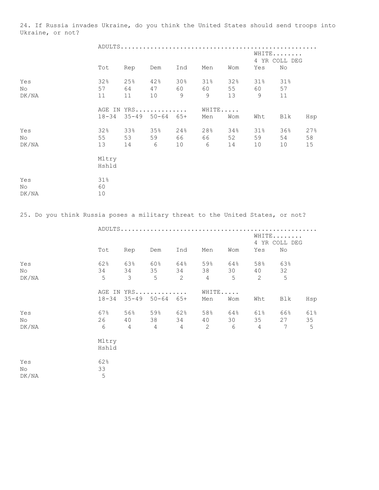24. If Russia invades Ukraine, do you think the United States should send troops into Ukraine, or not?

|                                                                               |            |            | WHITE                      |             |                 |     |     |                     |     |  |
|-------------------------------------------------------------------------------|------------|------------|----------------------------|-------------|-----------------|-----|-----|---------------------|-----|--|
|                                                                               | Tot        | Rep        | Dem                        | Ind         | Men             | Wom | Yes | 4 YR COLL DEG<br>No |     |  |
|                                                                               |            |            |                            |             |                 |     |     |                     |     |  |
| Yes                                                                           | 32%        | 25%        | 42%                        | $30\%$      | 31%             | 32% | 31% | 31%                 |     |  |
| No                                                                            | 57         | 64         | 47                         | 60          | 60              | 55  | 60  | 57                  |     |  |
| DK/NA                                                                         | 11         | 11         | 10                         | $\mathsf 9$ | $\mathcal{G}$   | 13  | 9   | 11                  |     |  |
|                                                                               |            | AGE IN YRS |                            |             |                 |     |     |                     |     |  |
|                                                                               | $18 - 34$  | $35 - 49$  | $50 - 64$ $65 +$           |             | Men             | Wom | Wht | Blk                 | Hsp |  |
| Yes                                                                           | 32%        | 33%        | 35%                        | 24%         | 28%             | 34% | 31% | 36%                 | 27% |  |
| No                                                                            | 55         | 53         | 59                         | 66          | 66 10           | 52  | 59  | 54                  | 58  |  |
| DK/NA                                                                         | 13         | 14 6       |                            | 10          | $6\overline{6}$ | 14  | 10  | 10                  | 15  |  |
|                                                                               | Mltry      |            |                            |             |                 |     |     |                     |     |  |
|                                                                               | Hshld      |            |                            |             |                 |     |     |                     |     |  |
| Yes                                                                           | 31%        |            |                            |             |                 |     |     |                     |     |  |
| No                                                                            | 60         |            |                            |             |                 |     |     |                     |     |  |
| DK/NA                                                                         | 10         |            |                            |             |                 |     |     |                     |     |  |
|                                                                               |            |            |                            |             |                 |     |     |                     |     |  |
| 25. Do you think Russia poses a military threat to the United States, or not? |            |            |                            |             |                 |     |     |                     |     |  |
|                                                                               |            |            |                            |             |                 |     |     |                     |     |  |
|                                                                               |            |            |                            |             |                 |     |     | WHITE               |     |  |
|                                                                               |            |            |                            |             |                 |     |     | 4 YR COLL DEG       |     |  |
|                                                                               | Tot        | Rep        | Dem                        | Ind         | Men             | Wom | Yes | No                  |     |  |
| Yes                                                                           | 62%        | 63%        | $60\%$ $64\%$              |             | 59%             | 64% | 58% | 63%                 |     |  |
| No                                                                            | 34         | 34         | 35                         | 34          | 38              | 30  | 40  | 32                  |     |  |
| DK/NA                                                                         | 5          | 3          | 5                          | 2           | 4               | 5   | 2   | 5                   |     |  |
|                                                                               |            |            | AGE IN YRS                 |             | WHITE           |     |     |                     |     |  |
|                                                                               | $18 - 34$  |            | $35 - 49$ $50 - 64$ $65 +$ |             | Men             | Wom | Wht | Blk                 | Hsp |  |
| Yes                                                                           | 67%        | 56%        | 59%                        | 62%         | 58%             | 64% | 61% | 66%                 | 61% |  |
| No                                                                            |            | 40         | 38 — 1                     | 34          | 40              | 30  | 35  | 27                  | 35  |  |
| DK/NA                                                                         | $\sqrt{6}$ | 4          | 4                          | 4           | $\sqrt{2}$      | 6   | 4   | 7                   | 5   |  |
|                                                                               | Mltry      |            |                            |             |                 |     |     |                     |     |  |
|                                                                               | Hshld      |            |                            |             |                 |     |     |                     |     |  |
| Yes                                                                           | 62%        |            |                            |             |                 |     |     |                     |     |  |
| No                                                                            | 33         |            |                            |             |                 |     |     |                     |     |  |
| ${\rm DK/NA}$                                                                 | 5          |            |                            |             |                 |     |     |                     |     |  |